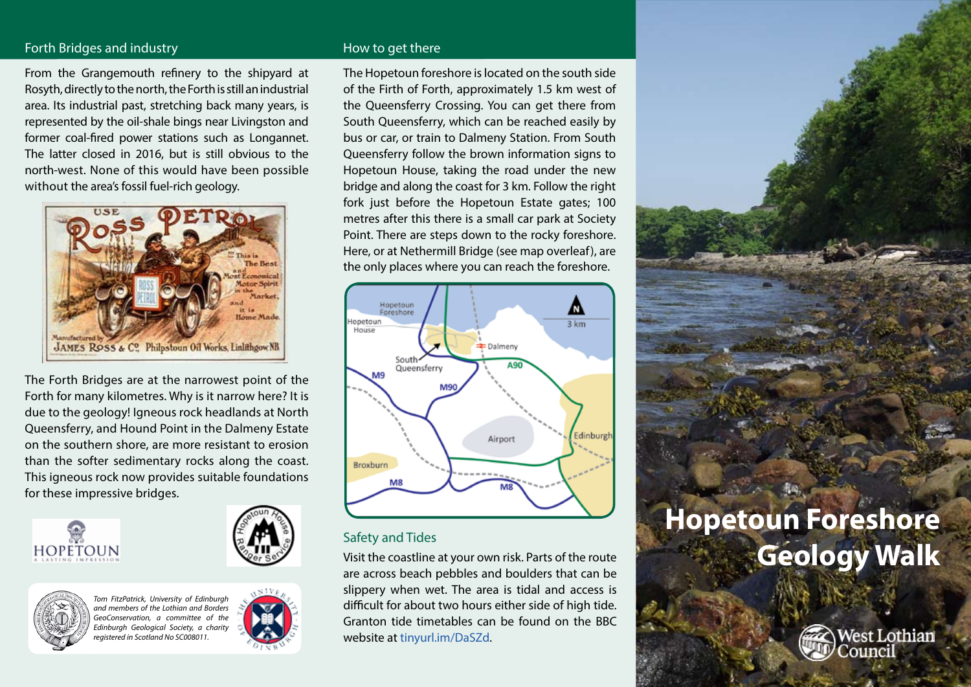### Forth Bridges and industry **How to get there** How to get there

From the Grangemouth refinery to the shipyard at Rosyth, directly to the north, the Forth is still an industrial area. Its industrial past, stretching back many years, is represented by the oil-shale bings near Livingston and former coal-fired power stations such as Longannet. The latter closed in 2016, but is still obvious to the north-west. None of this would have been possible without the area's fossil fuel-rich geology.



The Forth Bridges are at the narrowest point of the Forth for many kilometres. Why is it narrow here? It is due to the geology! Igneous rock headlands at North Queensferry, and Hound Point in the Dalmeny Estate on the southern shore, are more resistant to erosion than the softer sedimentary rocks along the coast. This igneous rock now provides suitable foundations for these impressive bridges.





*Tom FitzPatrick, University of Edinburgh and members of the Lothian and Borders GeoConservation, a committee of the Edinburgh Geological Society, a charity registered in Scotland No SC008011.*



The Hopetoun foreshore is located on the south side of the Firth of Forth, approximately 1.5 km west of the Queensferry Crossing. You can get there from South Queensferry, which can be reached easily by bus or car, or train to Dalmeny Station. From South Queensferry follow the brown information signs to Hopetoun House, taking the road under the new bridge and along the coast for 3 km. Follow the right fork just before the Hopetoun Estate gates; 100 metres after this there is a small car park at Society Point. There are steps down to the rocky foreshore. Here, or at Nethermill Bridge (see map overleaf), are the only places where you can reach the foreshore.



### Safety and Tides

Visit the coastline at your own risk. Parts of the route are across beach pebbles and boulders that can be slippery when wet. The area is tidal and access is difficult for about two hours either side of high tide. Granton tide timetables can be found on the BBC website at [tinyurl.im/DaSZd](http://www.bbc.co.uk/weather/coast_and_sea/tide_tables/7/226#tide-details).

# **Hopetoun Foreshore Geology Walk**

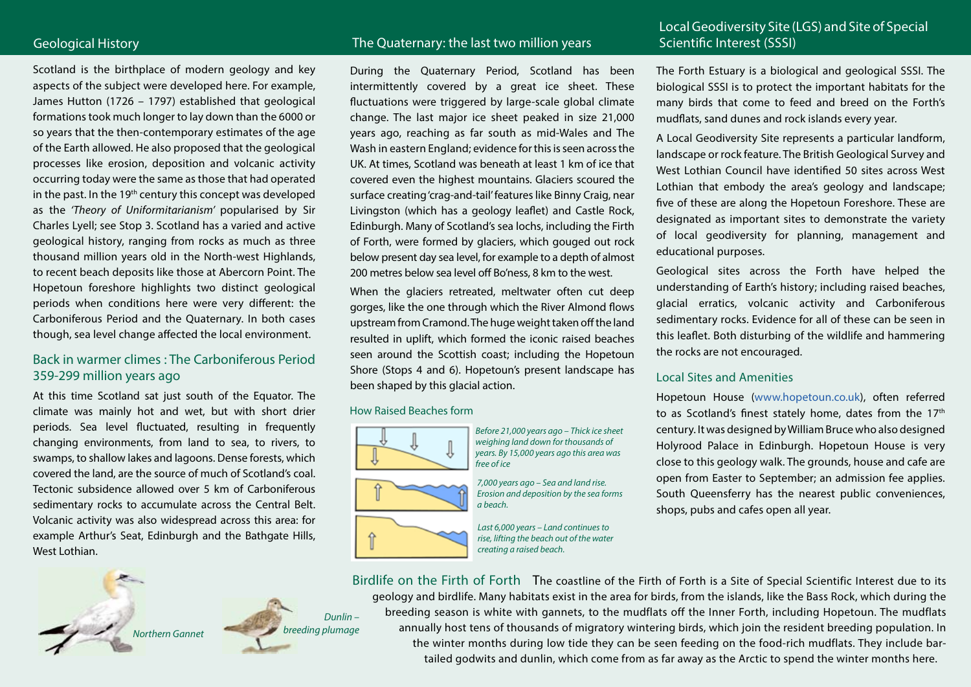Scotland is the birthplace of modern geology and key aspects of the subject were developed here. For example, James Hutton (1726 – 1797) established that geological formations took much longer to lay down than the 6000 or so years that the then-contemporary estimates of the age of the Earth allowed. He also proposed that the geological processes like erosion, deposition and volcanic activity occurring today were the same as those that had operated in the past. In the 19<sup>th</sup> century this concept was developed as the *'Theory of Uniformitarianism'* popularised by Sir Charles Lyell; see Stop 3. Scotland has a varied and active geological history, ranging from rocks as much as three thousand million years old in the North-west Highlands, to recent beach deposits like those at Abercorn Point. The Hopetoun foreshore highlights two distinct geological periods when conditions here were very different: the Carboniferous Period and the Quaternary. In both cases though, sea level change affected the local environment.

### Back in warmer climes : The Carboniferous Period 359-299 million years ago

At this time Scotland sat just south of the Equator. The climate was mainly hot and wet, but with short drier periods. Sea level fluctuated, resulting in frequently changing environments, from land to sea, to rivers, to swamps, to shallow lakes and lagoons. Dense forests, which covered the land, are the source of much of Scotland's coal. Tectonic subsidence allowed over 5 km of Carboniferous sedimentary rocks to accumulate across the Central Belt. Volcanic activity was also widespread across this area: for example Arthur's Seat, Edinburgh and the Bathgate Hills, West Lothian.





### Geological History **Scientific Interest (SSSI)** The Quaternary: the last two million years Scientific Interest (SSSI)

During the Quaternary Period, Scotland has been intermittently covered by a great ice sheet. These fluctuations were triggered by large-scale global climate change. The last major ice sheet peaked in size 21,000 years ago, reaching as far south as mid-Wales and The Wash in eastern England; evidence for this is seen across the UK. At times, Scotland was beneath at least 1 km of ice that covered even the highest mountains. Glaciers scoured the surface creating 'crag-and-tail' features like Binny Craig, near Livingston (which has a geology leaflet) and Castle Rock, Edinburgh. Many of Scotland's sea lochs, including the Firth of Forth, were formed by glaciers, which gouged out rock below present day sea level, for example to a depth of almost 200 metres below sea level off Bo'ness, 8 km to the west.

When the glaciers retreated, meltwater often cut deep gorges, like the one through which the River Almond flows upstream from Cramond. The huge weight taken off the land resulted in uplift, which formed the iconic raised beaches seen around the Scottish coast; including the Hopetoun Shore (Stops 4 and 6). Hopetoun's present landscape has been shaped by this glacial action.

### How Raised Beaches form



*Before 21,000 years ago – Thick ice sheet weighing land down for thousands of years. By 15,000 years ago this area was free of ice*



*7,000 years ago – Sea and land rise. Erosion and deposition by the sea forms a beach.*

*Last 6,000 years – Land continues to rise, lifting the beach out of the water creating a raised beach.*

# Local Geodiversity Site (LGS) and Site of Special

The Forth Estuary is a biological and geological SSSI. The biological SSSI is to protect the important habitats for the many birds that come to feed and breed on the Forth's mudflats, sand dunes and rock islands every year.

A Local Geodiversity Site represents a particular landform, landscape or rock feature. The British Geological Survey and West Lothian Council have identified 50 sites across West Lothian that embody the area's geology and landscape; five of these are along the Hopetoun Foreshore. These are designated as important sites to demonstrate the variety of local geodiversity for planning, management and educational purposes.

Geological sites across the Forth have helped the understanding of Earth's history; including raised beaches, glacial erratics, volcanic activity and Carboniferous sedimentary rocks. Evidence for all of these can be seen in this leaflet. Both disturbing of the wildlife and hammering the rocks are not encouraged.

### Local Sites and Amenities

Hopetoun House [\(www.hopetoun.co.uk\)](http://hopetoun.co.uk/), often referred to as Scotland's finest stately home, dates from the  $17<sup>th</sup>$ century. It was designed by William Bruce who also designed Holyrood Palace in Edinburgh. Hopetoun House is very close to this geology walk. The grounds, house and cafe are open from Easter to September; an admission fee applies. South Queensferry has the nearest public conveniences, shops, pubs and cafes open all year.

Birdlife on the Firth of Forth The coastline of the Firth of Forth is a Site of Special Scientific Interest due to its geology and birdlife. Many habitats exist in the area for birds, from the islands, like the Bass Rock, which during the breeding season is white with gannets, to the mudflats off the Inner Forth, including Hopetoun. The mudflats annually host tens of thousands of migratory wintering birds, which join the resident breeding population. In the winter months during low tide they can be seen feeding on the food-rich mudflats. They include bartailed godwits and dunlin, which come from as far away as the Arctic to spend the winter months here.